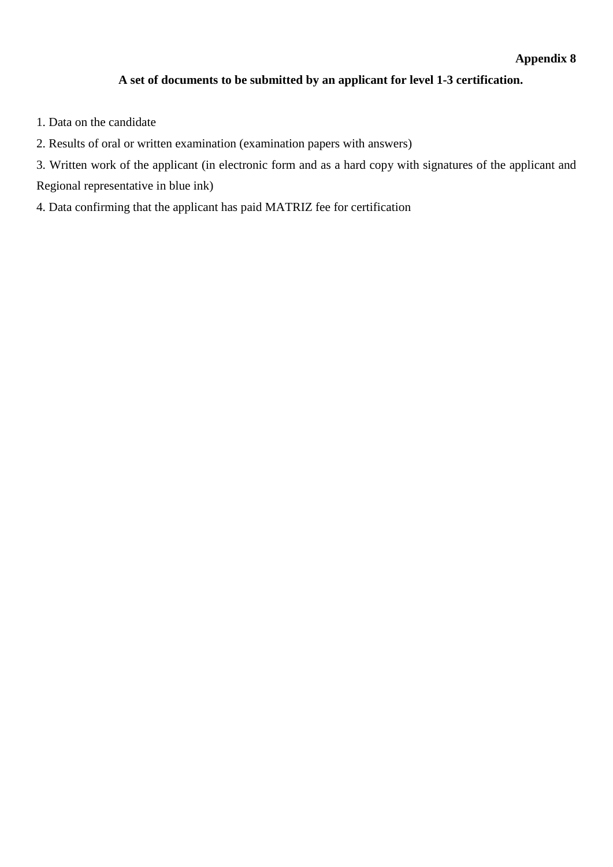## **A set of documents to be submitted by an applicant for level 1-3 certification.**

- 1. Data on the candidate
- 2. Results of oral or written examination (examination papers with answers)
- 3. Written work of the applicant (in electronic form and as a hard copy with signatures of the applicant and Regional representative in blue ink)
- 4. Data confirming that the applicant has paid MATRIZ fee for certification